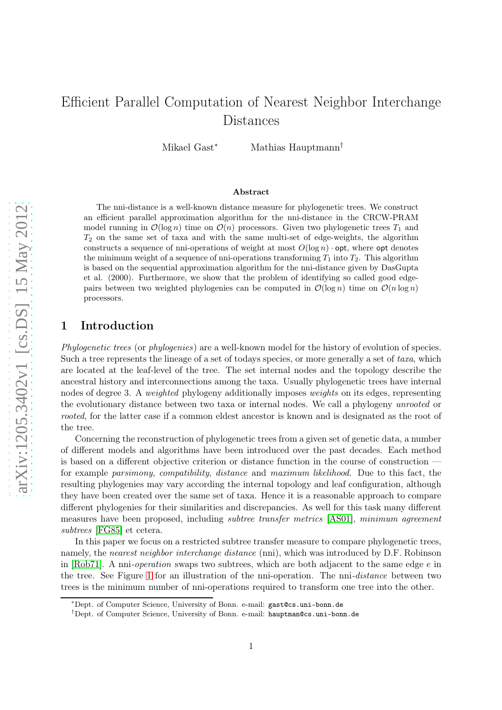# Efficient Parallel Computation of Nearest Neighbor Interchange Distances

Mikael Gast<sup>∗</sup> Mathias Hauptmann†

#### Abstract

The nni-distance is a well-known distance measure for phylogenetic trees. We construct an efficient parallel approximation algorithm for the nni-distance in the CRCW-PRAM model running in  $\mathcal{O}(\log n)$  time on  $\mathcal{O}(n)$  processors. Given two phylogenetic trees  $T_1$  and  $T_2$  on the same set of taxa and with the same multi-set of edge-weights, the algorithm constructs a sequence of nni-operations of weight at most  $O(\log n)$  opt, where opt denotes the minimum weight of a sequence of nni-operations transforming  $T_1$  into  $T_2$ . This algorithm is based on the sequential approximation algorithm for the nni-distance given by DasGupta et al. (2000). Furthermore, we show that the problem of identifying so called good edgepairs between two weighted phylogenies can be computed in  $\mathcal{O}(\log n)$  time on  $\mathcal{O}(n \log n)$ processors.

# 1 Introduction

*Phylogenetic trees* (or *phylogenies*) are a well-known model for the history of evolution of species. Such a tree represents the lineage of a set of todays species, or more generally a set of *taxa*, which are located at the leaf-level of the tree. The set internal nodes and the topology describe the ancestral history and interconnections among the taxa. Usually phylogenetic trees have internal nodes of degree 3. A *weighted* phylogeny additionally imposes *weights* on its edges, representing the evolutionary distance between two taxa or internal nodes. We call a phylogeny *unrooted* or *rooted*, for the latter case if a common eldest ancestor is known and is designated as the root of the tree.

Concerning the reconstruction of phylogenetic trees from a given set of genetic data, a number of different models and algorithms have been introduced over the past decades. Each method is based on a different objective criterion or distance function in the course of construction for example *parsimony*, *compatibility*, *distance* and *maximum likelihood*. Due to this fact, the resulting phylogenies may vary according the internal topology and leaf configuration, although they have been created over the same set of taxa. Hence it is a reasonable approach to compare different phylogenies for their similarities and discrepancies. As well for this task many different measures have been proposed, including *subtree transfer metrics* [\[AS01\]](#page-15-0), *minimum agreement subtrees* [\[FG85\]](#page-16-0) et cetera.

In this paper we focus on a restricted subtree transfer measure to compare phylogenetic trees, namely, the *nearest neighbor interchange distance* (nni), which was introduced by D.F. Robinson in [\[Rob71\]](#page-16-1). A nni*-operation* swaps two subtrees, which are both adjacent to the same edge e in the tree. See Figure [1](#page-1-0) for an illustration of the nni-operation. The nni*-distance* between two trees is the minimum number of nni-operations required to transform one tree into the other.

<sup>∗</sup>Dept. of Computer Science, University of Bonn. e-mail: gast@cs.uni-bonn.de

<sup>†</sup>Dept. of Computer Science, University of Bonn. e-mail: hauptman@cs.uni-bonn.de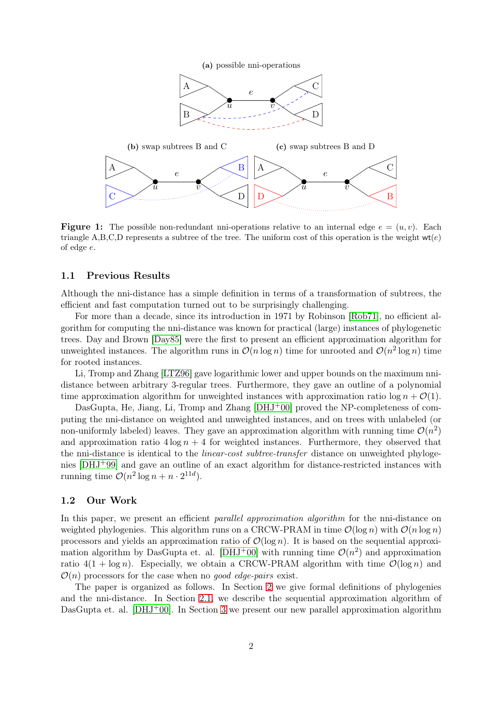<span id="page-1-0"></span>

**Figure 1:** The possible non-redundant nni-operations relative to an internal edge  $e = (u, v)$ . Each triangle A,B,C,D represents a subtree of the tree. The uniform cost of this operation is the weight  $wt(e)$ of edge e.

## 1.1 Previous Results

Although the nni-distance has a simple definition in terms of a transformation of subtrees, the efficient and fast computation turned out to be surprisingly challenging.

For more than a decade, since its introduction in 1971 by Robinson [\[Rob71\]](#page-16-1), no efficient algorithm for computing the nni-distance was known for practical (large) instances of phylogenetic trees. Day and Brown [\[Day85\]](#page-16-2) were the first to present an efficient approximation algorithm for unweighted instances. The algorithm runs in  $\mathcal{O}(n \log n)$  time for unrooted and  $\mathcal{O}(n^2 \log n)$  time for rooted instances.

Li, Tromp and Zhang [\[LTZ96\]](#page-16-3) gave logarithmic lower and upper bounds on the maximum nnidistance between arbitrary 3-regular trees. Furthermore, they gave an outline of a polynomial time approximation algorithm for unweighted instances with approximation ratio  $\log n + \mathcal{O}(1)$ .

DasGupta, He, Jiang, Li, Tromp and Zhang [\[DHJ](#page-16-4)+00] proved the NP-completeness of computing the nni-distance on weighted and unweighted instances, and on trees with unlabeled (or non-uniformly labeled) leaves. They gave an approximation algorithm with running time  $\mathcal{O}(n^2)$ and approximation ratio  $4 \log n + 4$  for weighted instances. Furthermore, they observed that the nni-distance is identical to the *linear-cost subtree-transfer* distance on unweighted phylogenies [\[DHJ](#page-16-5)+99] and gave an outline of an exact algorithm for distance-restricted instances with running time  $\mathcal{O}(n^2 \log n + n \cdot 2^{11d}).$ 

## 1.2 Our Work

In this paper, we present an efficient *parallel approximation algorithm* for the nni-distance on weighted phylogenies. This algorithm runs on a CRCW-PRAM in time  $\mathcal{O}(\log n)$  with  $\mathcal{O}(n \log n)$ processors and yields an approximation ratio of  $\mathcal{O}(\log n)$ . It is based on the sequential approxi-mation algorithm by DasGupta et. al. [\[DHJ](#page-16-4)<sup>+</sup>00] with running time  $\mathcal{O}(n^2)$  and approximation ratio  $4(1 + \log n)$ . Especially, we obtain a CRCW-PRAM algorithm with time  $\mathcal{O}(\log n)$  and  $\mathcal{O}(n)$  processors for the case when no *good edge-pairs* exist.

The paper is organized as follows. In Section [2](#page-2-0) we give formal definitions of phylogenies and the nni-distance. In Section [2.1,](#page-3-0) we describe the sequential approximation algorithm of DasGupta et. al. [\[DHJ](#page-16-4)+00]. In Section [3](#page-4-0) we present our new parallel approximation algorithm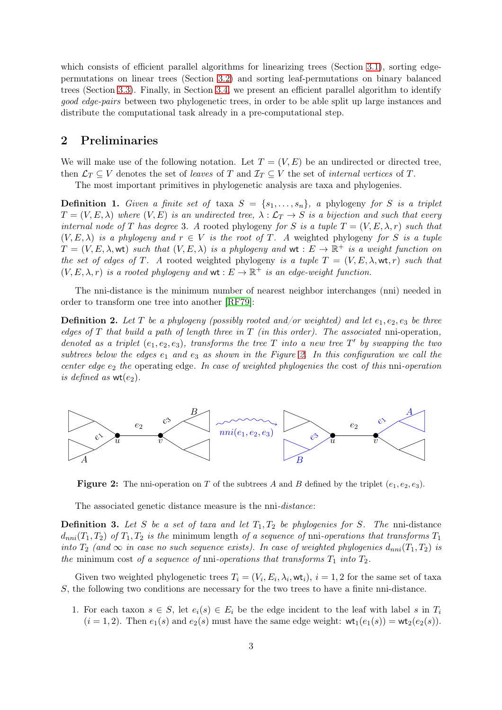which consists of efficient parallel algorithms for linearizing trees (Section [3.1\)](#page-5-0), sorting edgepermutations on linear trees (Section [3.2\)](#page-7-0) and sorting leaf-permutations on binary balanced trees (Section [3.3\)](#page-9-0). Finally, in Section [3.4,](#page-11-0) we present an efficient parallel algorithm to identify *good edge-pairs* between two phylogenetic trees, in order to be able split up large instances and distribute the computational task already in a pre-computational step.

# <span id="page-2-0"></span>2 Preliminaries

We will make use of the following notation. Let  $T = (V, E)$  be an undirected or directed tree, then  $\mathcal{L}_T \subseteq V$  denotes the set of *leaves* of T and  $\mathcal{I}_T \subseteq V$  the set of *internal vertices* of T.

The most important primitives in phylogenetic analysis are taxa and phylogenies.

**Definition 1.** Given a finite set of taxa  $S = \{s_1, \ldots, s_n\}$ , a phylogeny for S is a triplet  $T = (V, E, \lambda)$  where  $(V, E)$  is an undirected tree,  $\lambda : \mathcal{L}_T \to S$  is a bijection and such that every *internal node of* T *has degree* 3*.* A rooted phylogeny *for* S *is a tuple*  $T = (V, E, \lambda, r)$  *such that*  $(V, E, \lambda)$  *is a phylogeny and*  $r \in V$  *is the root of* T. A weighted phylogeny for S *is a tuple*  $T = (V, E, \lambda, \text{wt})$  such that  $(V, E, \lambda)$  is a phylogeny and  $\text{wt}: E \to \mathbb{R}^+$  is a weight function on *the set of edges of* T. A rooted weighted phylogeny *is a tuple*  $T = (V, E, \lambda, \text{wt}, r)$  *such that*  $(V, E, \lambda, r)$  *is a rooted phylogeny and*  $\mathsf{wt} : E \to \mathbb{R}^+$  *is an edge-weight function.* 

The nni-distance is the minimum number of nearest neighbor interchanges (nni) needed in order to transform one tree into another [\[RF79\]](#page-16-6):

**Definition 2.** Let T be a phylogeny (possibly rooted and/or weighted) and let  $e_1, e_2, e_3$  be three *edges of* T *that build a path of length three in* T *(in this order). The associated* nni-operation*,* denoted as a triplet  $(e_1, e_2, e_3)$ , transforms the tree T into a new tree T' by swapping the two  $subtrees below the edges  $e_1$  and  $e_3$  as shown in the Figure 2. In this configuration we call the$  $subtrees below the edges  $e_1$  and  $e_3$  as shown in the Figure 2. In this configuration we call the$  $subtrees below the edges  $e_1$  and  $e_3$  as shown in the Figure 2. In this configuration we call the$ *center edge*  $e_2$  *the* operating edge. In case of weighted phylogenies the cost of this nni-operation *is defined as*  $wt(e_2)$ .

<span id="page-2-1"></span>

**Figure 2:** The nni-operation on T of the subtrees A and B defined by the triplet  $(e_1, e_2, e_3)$ .

The associated genetic distance measure is the nni*-distance*:

**Definition 3.** Let S be a set of taxa and let  $T_1, T_2$  be phylogenies for S. The nni-distance  $d_{nni}(T_1, T_2)$  *of*  $T_1, T_2$  *is the* minimum length *of a sequence of* nni-*operations that transforms*  $T_1$ *into*  $T_2$  (and  $\infty$  *in case no such sequence exists). In case of weighted phylogenies*  $d_{nni}(T_1, T_2)$  *is the* minimum cost *of a sequence of* nni-*operations that transforms*  $T_1$  *into*  $T_2$ *.* 

Given two weighted phylogenetic trees  $T_i = (V_i, E_i, \lambda_i, \text{wt}_i), i = 1, 2$  for the same set of taxa S, the following two conditions are necessary for the two trees to have a finite nni-distance.

1. For each taxon  $s \in S$ , let  $e_i(s) \in E_i$  be the edge incident to the leaf with label s in  $T_i$  $(i = 1, 2)$ . Then  $e_1(s)$  and  $e_2(s)$  must have the same edge weight:  $\mathsf{wt}_1(e_1(s)) = \mathsf{wt}_2(e_2(s))$ .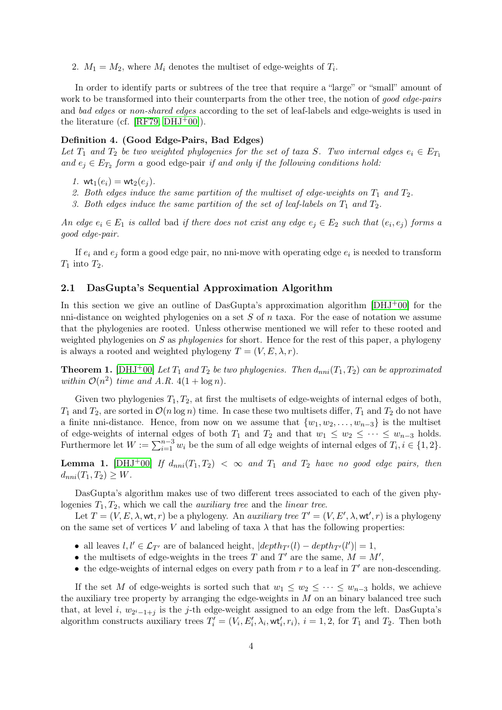2.  $M_1 = M_2$ , where  $M_i$  denotes the multiset of edge-weights of  $T_i$ .

In order to identify parts or subtrees of the tree that require a "large" or "small" amount of work to be transformed into their counterparts from the other tree, the notion of *good edge-pairs* and *bad edges* or *non-shared edges* according to the set of leaf-labels and edge-weights is used in the literature (cf.  $[RF79, DHJ^+00]$  $[RF79, DHJ^+00]$  $[RF79, DHJ^+00]$ ).

#### Definition 4. (Good Edge-Pairs, Bad Edges)

Let  $T_1$  and  $T_2$  be two weighted phylogenies for the set of taxa S. Two internal edges  $e_i \in E_{T_1}$ and  $e_j \in E_{T_2}$  form a good edge-pair *if and only if the following conditions hold:* 

*1.*  $wt_1(e_i) = wt_2(e_i)$ .

- <span id="page-3-1"></span>2. Both edges induce the same partition of the multiset of edge-weights on  $T_1$  and  $T_2$ .
- *3. Both edges induce the same partition of the set of leaf-labels on* T<sup>1</sup> *and* T2*.*

*An edge*  $e_i \in E_1$  *is called* bad *if there does not exist any edge*  $e_j \in E_2$  *such that*  $(e_i, e_j)$  *forms a good edge-pair.*

If  $e_i$  and  $e_j$  form a good edge pair, no nni-move with operating edge  $e_i$  is needed to transform  $T_1$  into  $T_2$ .

#### <span id="page-3-0"></span>2.1 DasGupta's Sequential Approximation Algorithm

In this section we give an outline of DasGupta's approximation algorithm  $[DHJ^+00]$  for the nni-distance on weighted phylogenies on a set  $S$  of  $n$  taxa. For the ease of notation we assume that the phylogenies are rooted. Unless otherwise mentioned we will refer to these rooted and weighted phylogenies on S as *phylogenies* for short. Hence for the rest of this paper, a phylogeny is always a rooted and weighted phylogeny  $T = (V, E, \lambda, r)$ .

**Theorem 1.** [\[DHJ](#page-16-4)<sup>+</sup>00] *Let*  $T_1$  *and*  $T_2$  *be two phylogenies. Then*  $d_{nni}(T_1, T_2)$  *can be approximated* within  $\mathcal{O}(n^2)$  time and A.R.  $4(1 + \log n)$ .

Given two phylogenies  $T_1, T_2$ , at first the multisets of edge-weights of internal edges of both,  $T_1$  and  $T_2$ , are sorted in  $\mathcal{O}(n \log n)$  time. In case these two multisets differ,  $T_1$  and  $T_2$  do not have a finite nni-distance. Hence, from now on we assume that  $\{w_1, w_2, \ldots, w_{n-3}\}$  is the multiset of edge-weights of internal edges of both  $T_1$  and  $T_2$  and that  $w_1 \leq w_2 \leq \cdots \leq w_{n-3}$  holds. Furthermore let  $W := \sum_{i=1}^{n-3} w_i$  be the sum of all edge weights of internal edges of  $T_i, i \in \{1, 2\}$ .

**Lemma 1.** [\[DHJ](#page-16-4)<sup>+</sup>00] If  $d_{nni}(T_1, T_2) < \infty$  and  $T_1$  and  $T_2$  have no good edge pairs, then  $d_{nni}(T_1, T_2) \geq W$ .

DasGupta's algorithm makes use of two different trees associated to each of the given phylogenies T1, T2, which we call the *auxiliary tree* and the *linear tree*.

Let  $T = (V, E, \lambda, \text{wt}, r)$  be a phylogeny. An *auxiliary tree*  $T' = (V, E', \lambda, \text{wt}', r)$  is a phylogeny on the same set of vertices V and labeling of taxa  $\lambda$  that has the following properties:

- all leaves  $l, l' \in \mathcal{L}_{T'}$  are of balanced height,  $|depth_{T'}(l) depth_{T'}(l')| = 1$ ,
- the multisets of edge-weights in the trees T and T' are the same,  $M = M'$ ,
- the edge-weights of internal edges on every path from  $r$  to a leaf in  $T'$  are non-descending.

If the set M of edge-weights is sorted such that  $w_1 \leq w_2 \leq \cdots \leq w_{n-3}$  holds, we achieve the auxiliary tree property by arranging the edge-weights in  $M$  on an binary balanced tree such that, at level i,  $w_{2^{i}-1+j}$  is the j-th edge-weight assigned to an edge from the left. DasGupta's algorithm constructs auxiliary trees  $T'_i = (V_i, E'_i, \lambda_i, \text{wt}'_i, r_i), i = 1, 2$ , for  $T_1$  and  $T_2$ . Then both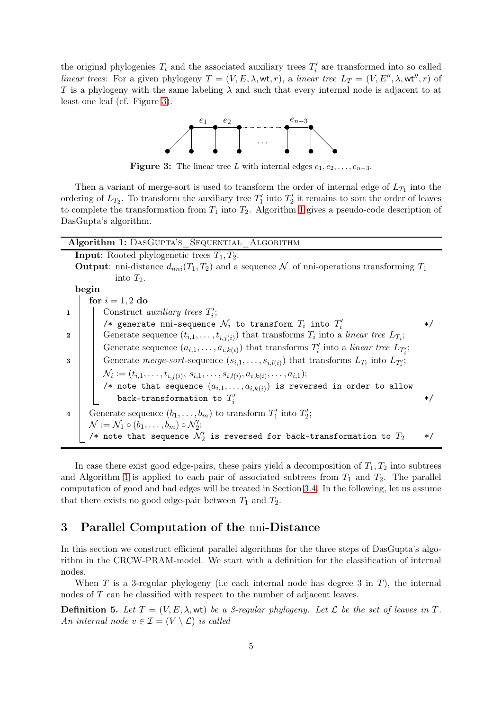<span id="page-4-1"></span>the original phylogenies  $T_i$  and the associated auxiliary trees  $T'_i$  are transformed into so called *linear trees*: For a given phylogeny  $T = (V, E, \lambda, \text{wt}, r)$ , a *linear tree*  $L_T = (V, E'', \lambda, \text{wt}'', r)$  of T is a phylogeny with the same labeling  $\lambda$  and such that every internal node is adjacent to at least one leaf (cf. Figure [3\)](#page-4-1).



**Figure 3:** The linear tree L with internal edges  $e_1, e_2, \ldots, e_{n-3}$ .

Then a variant of merge-sort is used to transform the order of internal edge of  $L_{T_1}$  into the ordering of  $L_{T_2}$ . To transform the auxiliary tree  $T'_1$  into  $T'_2$  it remains to sort the order of leaves to complete the transformation from  $T_1$  into  $T_2$ . Algorithm [1](#page-4-2) gives a pseudo-code description of DasGupta's algorithm.

<span id="page-4-4"></span><span id="page-4-3"></span>

| Algorithm 1: DASGUPTA'S SEQUENTIAL ALGORITHM                                                           |                                                                                                             |         |
|--------------------------------------------------------------------------------------------------------|-------------------------------------------------------------------------------------------------------------|---------|
| <b>Input:</b> Rooted phylogenetic trees $T_1, T_2$ .                                                   |                                                                                                             |         |
| <b>Output</b> : nni-distance $d_{nni}(T_1, T_2)$ and a sequence N of nni-operations transforming $T_1$ |                                                                                                             |         |
|                                                                                                        | into $T_2$ .                                                                                                |         |
|                                                                                                        | begin                                                                                                       |         |
|                                                                                                        | for $i = 1, 2$ do                                                                                           |         |
| $\mathbf{1}$                                                                                           | Construct <i>auxiliary trees</i> $T_i$ ;                                                                    |         |
|                                                                                                        | /* generate nni-sequence $\mathcal{N}_i$ to transform $T_i$ into $T_i'$                                     | $\ast/$ |
| $\mathbf{2}$                                                                                           | Generate sequence $(t_{i,1},\ldots,t_{i,j(i)})$ that transforms $T_i$ into a linear tree $L_{T_i}$ ;        |         |
|                                                                                                        | Generate sequence $(a_{i,1},\ldots,a_{i,k(i)})$ that transforms $T'_i$ into a linear tree $L_{T'}$ ;        |         |
| 3                                                                                                      | Generate merge-sort-sequence $(s_{i,1},\ldots,s_{i,l(i)})$ that transforms $L_{T_i}$ into $L_{T_i}$ ;       |         |
|                                                                                                        | $\mathcal{N}_i := (t_{i,1}, \ldots, t_{i,j(i)}, s_{i,1}, \ldots, s_{i,l(i)}, a_{i,k(i)}, \ldots, a_{i,1});$ |         |
|                                                                                                        | /* note that sequence $(a_{i,1},\ldots,a_{i,k(i)})$ is reversed in order to allow                           |         |
|                                                                                                        | back-transformation to $T_i'$                                                                               | $\ast/$ |
| $\overline{\mathbf{4}}$                                                                                | Generate sequence $(b_1, \ldots, b_m)$ to transform $T'_1$ into $T'_2$ ;                                    |         |
|                                                                                                        | $\mathcal{N} := \mathcal{N}_1 \circ (b_1, \ldots, b_m) \circ \mathcal{N}'_2;$                               |         |
|                                                                                                        | /* note that sequence $\mathcal{N}'_2$ is reversed for back-transformation to $T_2$                         | $\ast/$ |

<span id="page-4-5"></span><span id="page-4-2"></span>In case there exist good edge-pairs, these pairs yield a decomposition of  $T_1, T_2$  into subtrees and Algorithm [1](#page-4-2) is applied to each pair of associated subtrees from  $T_1$  and  $T_2$ . The parallel computation of good and bad edges will be treated in Section [3.4.](#page-11-0) In the following, let us assume that there exists no good edge-pair between  $T_1$  and  $T_2$ .

# <span id="page-4-0"></span>3 Parallel Computation of the nni-Distance

In this section we construct efficient parallel algorithms for the three steps of DasGupta's algorithm in the CRCW-PRAM-model. We start with a definition for the classification of internal nodes.

When T is a 3-regular phylogeny (i.e each internal node has degree 3 in T), the internal nodes of T can be classified with respect to the number of adjacent leaves.

**Definition 5.** Let  $T = (V, E, \lambda, \text{wt})$  be a 3-regular phylogeny. Let  $\mathcal L$  be the set of leaves in  $T$ . *An internal node*  $v \in \mathcal{I} = (V \setminus \mathcal{L})$  *is called*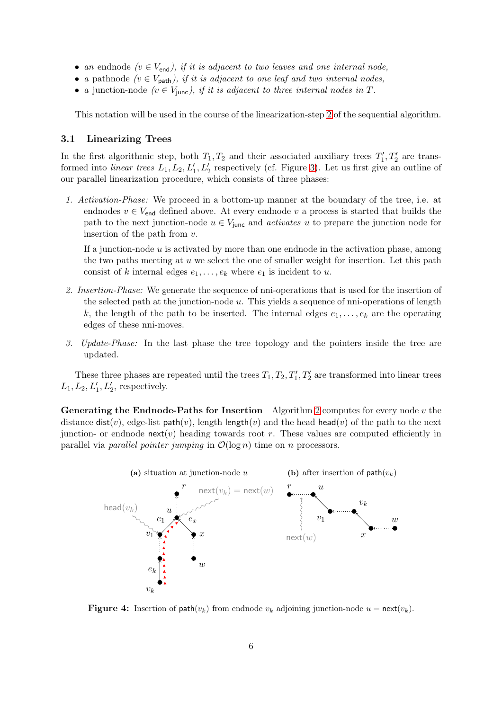- *an* endnode  $(v \in V_{\text{end}})$ , if it is adjacent to two leaves and one internal node,
- *a* pathnode  $(v \in V_{\text{path}})$ , *if it is adjacent to one leaf and two internal nodes,*
- *a* junction-node  $(v \in V_{\text{func}})$ , if it is adjacent to three internal nodes in T.

This notation will be used in the course of the linearization-step [2](#page-4-3) of the sequential algorithm.

## <span id="page-5-0"></span>3.1 Linearizing Trees

In the first algorithmic step, both  $T_1, T_2$  and their associated auxiliary trees  $T_1', T_2'$  are transformed into *linear trees*  $L_1, L_2, L'_1, L'_2$  respectively (cf. Figure [3\)](#page-4-1). Let us first give an outline of our parallel linearization procedure, which consists of three phases:

*1. Activation-Phase:* We proceed in a bottom-up manner at the boundary of the tree, i.e. at endnodes  $v \in V_{\text{end}}$  defined above. At every endnode v a process is started that builds the path to the next junction-node  $u \in V_{\text{junc}}$  and *activates* u to prepare the junction node for insertion of the path from  $v$ .

If a junction-node  $u$  is activated by more than one endnode in the activation phase, among the two paths meeting at  $u$  we select the one of smaller weight for insertion. Let this path consist of k internal edges  $e_1, \ldots, e_k$  where  $e_1$  is incident to u.

- *2. Insertion-Phase:* We generate the sequence of nni-operations that is used for the insertion of the selected path at the junction-node  $u$ . This yields a sequence of nni-operations of length k, the length of the path to be inserted. The internal edges  $e_1, \ldots, e_k$  are the operating edges of these nni-moves.
- *3. Update-Phase:* In the last phase the tree topology and the pointers inside the tree are updated.

These three phases are repeated until the trees  $T_1, T_2, T'_1, T'_2$  are transformed into linear trees  $L_1, L_2, L'_1, L'_2$ , respectively.

**Generating the Endnode-Paths for Insertion** Algorithm [2](#page-6-0) computes for every node  $v$  the distance dist(v), edge-list path(v), length length(v) and the head head(v) of the path to the next junction- or endnode  $next(v)$  heading towards root r. These values are computed efficiently in parallel via *parallel pointer jumping* in  $\mathcal{O}(\log n)$  time on *n* processors.

<span id="page-5-1"></span>

**Figure 4:** Insertion of  $path(v_k)$  from endnode  $v_k$  adjoining junction-node  $u = next(v_k)$ .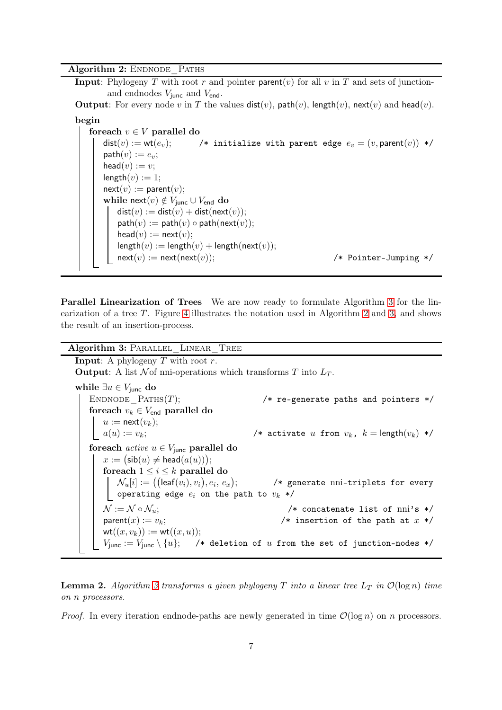Algorithm 2: ENDNODE PATHS

**Input:** Phylogeny T with root r and pointer parent(v) for all v in T and sets of junctionand endnodes  $V_{\text{junc}}$  and  $V_{\text{end}}$ .

**Output**: For every node v in T the values  $dist(v)$ ,  $path(v)$ ,  $length(v)$ ,  $next(v)$  and  $head(v)$ .

begin

foreach  $v \in V$  parallel do  $dist(v) := wt(e_v);$  /\* initialize with parent edge  $e_v = (v, parent(v))$  \*/  $path(v) := e_v;$ head $(v) := v$ ;  $length(v) := 1;$  $next(v) := parent(v);$ while next $(v) \notin V_{\text{junc}} \cup V_{\text{end}}$  do  $dist(v) := dist(v) + dist(next(v));$  $path(v) := path(v) \circ path(next(v));$  $head(v) := next(v);$  $length(v) := length(v) + length(next(v));$  $next(v) := next(next(v));$  /\* Pointer-Jumping \*/

<span id="page-6-0"></span>Parallel Linearization of Trees We are now ready to formulate Algorithm [3](#page-6-1) for the linearization of a tree  $T$ . Figure [4](#page-5-1) illustrates the notation used in Algorithm [2](#page-6-0) and [3,](#page-6-1) and shows the result of an insertion-process.

Algorithm 3: PARALLEL LINEAR TREE

**Input:** A phylogeny  $T$  with root  $r$ .

**Output:** A list  $\mathcal N$  of nni-operations which transforms T into  $L_T$ .

while  $\exists u \in V_{\text{junc}}$  do ENDNODE  $\text{PATHs}(T);$  /\* re-generate paths and pointers \*/ foreach  $v_k \in V_{\text{end}}$  parallel do  $u := \text{next}(v_k);$  $a(u) := v_k;$  /\* activate u from  $v_k$ ,  $k = \text{length}(v_k)$  \*/ foreach  $active \ u \in V_{\text{iunc}}$  parallel do  $x := \big(\mathsf{sib}(u) \ne \mathsf{head}(a(u))\big);$ foreach  $1 \leq i \leq k$  parallel do  $\mathcal{N}_{u}[i] := \bigl(\bigl(\mathsf{leaf}(v_i), v_i\bigr), e_i,\, e_x\bigr)$ /\* generate nni-triplets for every | operating edge  $e_i$  on the path to  $v_k * /$  $\mathcal{N} := \mathcal{N} \circ \mathcal{N}_u;$  /\* concatenate list of nni's \*/  $parent(x) := v_k;$  /\* insertion of the path at x \*/  $wt((x, v_k)) := wt((x, u));$  $V_{\text{junc}} := V_{\text{junc}} \setminus \{u\};$  /\* deletion of u from the set of junction-nodes \*/

<span id="page-6-2"></span><span id="page-6-1"></span>**Lemma 2.** Algorithm [3](#page-6-1) transforms a given phylogeny T into a linear tree  $L_T$  in  $\mathcal{O}(\log n)$  time *on* n *processors.*

*Proof.* In every iteration endnode-paths are newly generated in time  $\mathcal{O}(\log n)$  on n processors.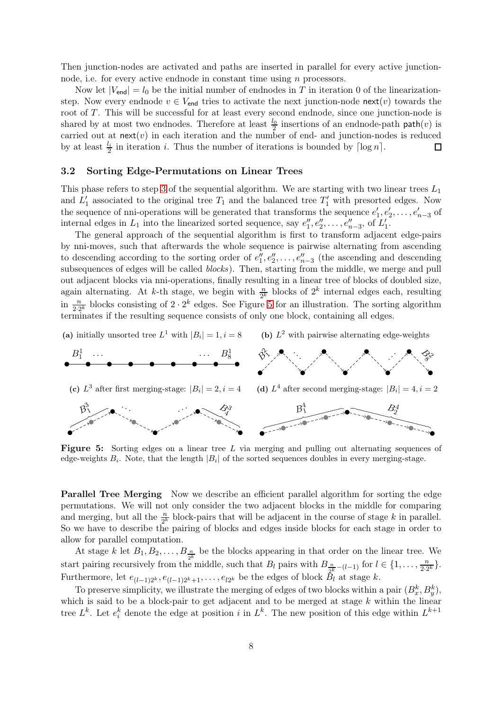Then junction-nodes are activated and paths are inserted in parallel for every active junctionnode, i.e. for every active endnode in constant time using  $n$  processors.

Now let  $|V_{\text{end}}| = l_0$  be the initial number of endnodes in T in iteration 0 of the linearizationstep. Now every endnode  $v \in V_{\text{end}}$  tries to activate the next junction-node next(v) towards the root of T. This will be successful for at least every second endnode, since one junction-node is shared by at most two endnodes. Therefore at least  $\frac{l_0}{2}$  insertions of an endnode-path path $(v)$  is carried out at  $next(v)$  in each iteration and the number of end- and junction-nodes is reduced by at least  $\frac{l_i}{2}$  in iteration *i*. Thus the number of iterations is bounded by  $\lceil \log n \rceil$ .  $\Box$ 

## <span id="page-7-0"></span>3.2 Sorting Edge-Permutations on Linear Trees

This phase refers to step [3](#page-4-4) of the sequential algorithm. We are starting with two linear trees  $L_1$ and  $L'_1$  associated to the original tree  $T_1$  and the balanced tree  $T'_1$  with presorted edges. Now the sequence of nni-operations will be generated that transforms the sequence  $e'_1, e'_2, \ldots, e'_{n-3}$  of internal edges in  $L_1$  into the linearized sorted sequence, say  $e''_1, e''_2, \ldots, e''_{n-3}$ , of  $L'_1$ .

The general approach of the sequential algorithm is first to transform adjacent edge-pairs by nni-moves, such that afterwards the whole sequence is pairwise alternating from ascending to descending according to the sorting order of  $e''_1, e''_2, \ldots, e''_{n-3}$  (the ascending and descending subsequences of edges will be called *blocks*). Then, starting from the middle, we merge and pull out adjacent blocks via nni-operations, finally resulting in a linear tree of blocks of doubled size, again alternating. At *k*-th stage, we begin with  $\frac{n}{2^k}$  blocks of  $2^k$  internal edges each, resulting in  $\frac{n}{2 \cdot 2^k}$  blocks consisting of  $2 \cdot 2^k$  edges. See Figure [5](#page-7-1) for an illustration. The sorting algorithm terminates if the resulting sequence consists of only one block, containing all edges.

<span id="page-7-1"></span>(a) initially unsorted tree  $L^1$  with  $|B_i| = 1, i = 8$ 

(b)  $L^2$  with pairwise alternating edge-weights



Figure 5: Sorting edges on a linear tree L via merging and pulling out alternating sequences of edge-weights  $B_i$ . Note, that the length  $|B_i|$  of the sorted sequences doubles in every merging-stage.

Parallel Tree Merging Now we describe an efficient parallel algorithm for sorting the edge permutations. We will not only consider the two adjacent blocks in the middle for comparing and merging, but all the  $\frac{n}{2^k}$  block-pairs that will be adjacent in the course of stage k in parallel. So we have to describe the pairing of blocks and edges inside blocks for each stage in order to allow for parallel computation.

At stage k let  $B_1, B_2, \ldots, B_{\frac{n}{2^k}}$  be the blocks appearing in that order on the linear tree. We start pairing recursively from the middle, such that  $B_l$  pairs with  $B_{\frac{n}{2^k}-(l-1)}$  for  $l \in \{1, \ldots, \frac{n}{2 \cdot 2} \}$  $\frac{n}{2\cdot 2^k}\}.$ Furthermore, let  $e_{(l-1)2^k}, e_{(l-1)2^k+1}, \ldots, e_{l2^k}$  be the edges of block  $B_l$  at stage k.

To preserve simplicity, we illustrate the merging of edges of two blocks within a pair  $(B_x^k, B_y^k)$ , which is said to be a block-pair to get adjacent and to be merged at stage  $k$  within the linear tree  $L^k$ . Let  $e_i^k$  denote the edge at position i in  $L^k$ . The new position of this edge within  $L^{k+1}$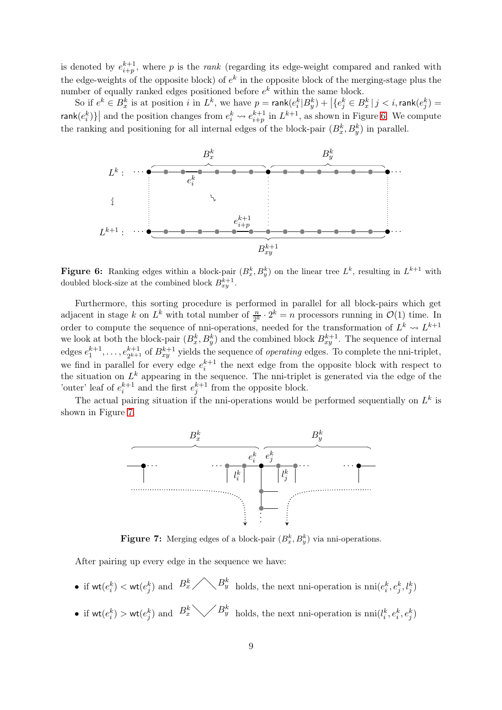is denoted by  $e_{i+p}^{k+1}$ , where p is the *rank* (regarding its edge-weight compared and ranked with the edge-weights of the opposite block) of  $e^k$  in the opposite block of the merging-stage plus the number of equally ranked edges positioned before  $e^{k}$  within the same block.

So if  $e^k \in B_x^k$  is at position  $i$  in  $L^k$ , we have  $p = \text{rank}(e_i^k | B_y^k) + \left| \{ e_j^k \in B_x^k | j < i, \text{rank}(e_j^k) = i \} \right|$  $\textsf{rank}(e_i^k)\}\big|$  and the position changes from  $e_i^k \leadsto e_{i+p}^{k+1}$  in  $L^{k+1}$ , as shown in Figure [6.](#page-8-0) We compute the ranking and positioning for all internal edges of the block-pair  $(B_x^k, B_y^k)$  in parallel.

<span id="page-8-0"></span>

**Figure 6:** Ranking edges within a block-pair  $(B_x^k, B_y^k)$  on the linear tree  $L^k$ , resulting in  $L^{k+1}$  with doubled block-size at the combined block  $B_{xy}^{k+1}$ .

Furthermore, this sorting procedure is performed in parallel for all block-pairs which get adjacent in stage k on  $L^k$  with total number of  $\frac{n}{2^k} \cdot 2^k = n$  processors running in  $\mathcal{O}(1)$  time. In order to compute the sequence of nni-operations, needed for the transformation of  $L^k \leadsto L^{k+1}$ we look at both the block-pair  $(B_x^k, B_y^k)$  and the combined block  $B_{xy}^{k+1}$ . The sequence of internal edges  $e_1^{k+1}, \ldots, e_{2^{k+1}}^{k+1}$  of  $B_{xy}^{k+1}$  yields the sequence of *operating* edges. To complete the nni-triplet, we find in parallel for every edge  $e_i^{k+1}$  the next edge from the opposite block with respect to the situation on  $L^k$  appearing in the sequence. The nni-triplet is generated via the edge of the 'outer' leaf of  $e_i^{k+1}$  and the first  $e_j^{k+1}$  from the opposite block.

<span id="page-8-1"></span>The actual pairing situation if the nni-operations would be performed sequentially on  $L^k$  is shown in Figure [7.](#page-8-1)



**Figure 7:** Merging edges of a block-pair  $(B_x^k, B_y^k)$  via nni-operations.

After pairing up every edge in the sequence we have:

- if  $\mathsf{wt}(e_i^k) < \mathsf{wt}(e_j^k)$  and  $B_x^k$   $\bigwedge_{y} B_y^k$  holds, the next nni-operation is  $\mathrm{nni}(e_i^k, e_j^k, l_j^k)$
- if  $\mathsf{wt}(e_i^k) > \mathsf{wt}(e_j^k)$  and  $B_x^k \searrow \nearrow B_y^k$  holds, the next nni-operation is  $\min(l_i^k, e_i^k, e_j^k)$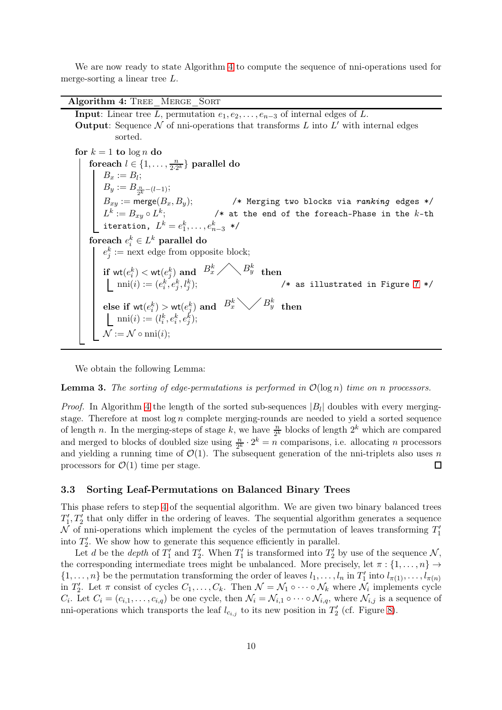We are now ready to state Algorithm [4](#page-9-1) to compute the sequence of nni-operations used for merge-sorting a linear tree L.

Algorithm 4: TREE MERGE SORT **Input:** Linear tree L, permutation  $e_1, e_2, \ldots, e_{n-3}$  of internal edges of L. **Output:** Sequence  $N$  of nni-operations that transforms  $L$  into  $L'$  with internal edges sorted. for  $k = 1$  to  $\log n$  do for each  $l \in \{1, \ldots, \frac{n}{2 \cdot 2} \}$  $\frac{n}{2\cdot2^k}\}$  parallel do  $B_x := B_l;$  $B_y := B_{\frac{n}{2^k} - (l-1)};$  $B_{xy} := \mathsf{merge}(B_x,B_y); \hspace{2cm} \text{/* } \mathsf{Merging}$  two blocks via  $\textit{ranking}$  edges  $\text{*/}$  $L^k:=B_{xy}\circ L^k; \hskip1cm \text{/* at the end of the foreach-Phase in the $k$-th}$ iteration,  $L^k = e_1^k, \ldots, e_{n-3}^k$  \*/ foreach  $e_i^k \in L^k$  parallel do  $e_j^k := \text{next edge from opposite block};$  $\text{if } \mathsf{wt}(e_i^k) < \mathsf{wt}(e_j^k) \text{ and } \enspace B_x^k \diagup \bigwedge B_y^k \enspace \text{then}$  $\text{nni}(i) := (e_i^k, e_j^k, l_j^k);$   $\qquad \qquad \qquad \text{/* as illustrated in Figure 7 */}$  $\qquad \qquad \qquad \text{/* as illustrated in Figure 7 */}$  $\qquad \qquad \qquad \text{/* as illustrated in Figure 7 */}$  $\text{else if } \text{wt}(e^k_i) > \text{wt}(e^k_j) \text{ and } \enspace B_x^k \diagdown\diagup B_y^k \enspace \text{then}$  $\text{nni}(i) := (l^k_i, e^k_i, e^k_j);$  $\mathcal{N} := \mathcal{N} \circ \mathrm{nni}(i);$ 

<span id="page-9-1"></span>We obtain the following Lemma:

<span id="page-9-2"></span>Lemma 3. *The sorting of edge-permutations is performed in* O(log n) *time on* n *processors.*

*Proof.* In Algorithm [4](#page-9-1) the length of the sorted sub-sequences  $|B_l|$  doubles with every mergingstage. Therefore at most  $\log n$  complete merging-rounds are needed to yield a sorted sequence of length n. In the merging-steps of stage k, we have  $\frac{n}{2^k}$  blocks of length  $2^k$  which are compared and merged to blocks of doubled size using  $\frac{n}{2^k} \cdot 2^k = n$  comparisons, i.e. allocating *n* processors and yielding a running time of  $\mathcal{O}(1)$ . The subsequent generation of the nni-triplets also uses n processors for  $\mathcal{O}(1)$  time per stage.  $\Box$ 

## <span id="page-9-0"></span>3.3 Sorting Leaf-Permutations on Balanced Binary Trees

This phase refers to step [4](#page-4-5) of the sequential algorithm. We are given two binary balanced trees  $T_1', T_2'$  that only differ in the ordering of leaves. The sequential algorithm generates a sequence  $\mathcal N$  of nni-operations which implement the cycles of the permutation of leaves transforming  $T_1'$ into  $T_2'$ . We show how to generate this sequence efficiently in parallel.

Let d be the depth of  $T_1'$  and  $T_2'$ . When  $T_1'$  is transformed into  $T_2'$  by use of the sequence  $\mathcal{N}$ , the corresponding intermediate trees might be unbalanced. More precisely, let  $\pi : \{1, \ldots, n\} \rightarrow$  $\{1,\ldots,n\}$  be the permutation transforming the order of leaves  $l_1,\ldots,l_n$  in  $T'_1$  into  $l_{\pi(1)},\ldots,l_{\pi(n)}$ in  $T'_2$ . Let  $\pi$  consist of cycles  $C_1, \ldots, C_k$ . Then  $\mathcal{N} = \mathcal{N}_1 \circ \cdots \circ \mathcal{N}_k$  where  $\mathcal{N}_i$  implements cycle  $C_i$ . Let  $C_i = (c_{i,1}, \ldots, c_{i,q})$  be one cycle, then  $\mathcal{N}_i = \mathcal{N}_{i,1} \circ \cdots \circ \mathcal{N}_{i,q}$ , where  $\mathcal{N}_{i,j}$  is a sequence of nni-operations which transports the leaf  $l_{c_{i,j}}$  to its new position in  $T'_{2}$  (cf. Figure [8\)](#page-10-0).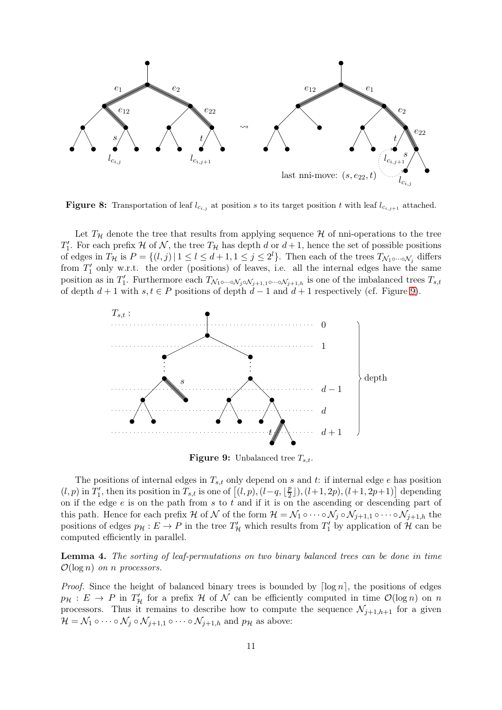<span id="page-10-0"></span>

**Figure 8:** Transportation of leaf  $l_{c_{i,j}}$  at position s to its target position t with leaf  $l_{c_{i,j+1}}$  attached.

Let  $T_H$  denote the tree that results from applying sequence H of nni-operations to the tree  $T_1'$ . For each prefix H of N, the tree  $T_{\mathcal{H}}$  has depth d or  $d+1$ , hence the set of possible positions of edges in  $T_{\mathcal{H}}$  is  $P = \{(l, j) | 1 \leq l \leq d+1, 1 \leq j \leq 2^l\}$ . Then each of the trees  $T_{\mathcal{N}_1 \circ \cdots \circ \mathcal{N}_j}$  differs from  $T'_1$  only w.r.t. the order (positions) of leaves, i.e. all the internal edges have the same position as in  $T_1'$ . Furthermore each  $T_{\mathcal{N}_1 \circ \cdots \circ \mathcal{N}_j \circ \mathcal{N}_{j+1,1} \circ \cdots \circ \mathcal{N}_{j+1,h}}$  is one of the imbalanced trees  $T_{s,t}$ of depth  $d + 1$  with  $s, t \in P$  positions of depth  $d - 1$  and  $d + 1$  respectively (cf. Figure [9\)](#page-10-1).

<span id="page-10-1"></span>

**Figure 9:** Unbalanced tree  $T_{s,t}$ .

The positions of internal edges in  $T_{s,t}$  only depend on s and t: if internal edge e has position  $(l, p)$  in  $T_1'$ , then its position in  $T_{s,t}$  is one of  $\left[ (l, p), (l-q, \lfloor \frac{p}{2} \rfloor \right]$  $\left[\frac{p}{2}\right]$ ,  $(l+1, 2p)$ ,  $(l+1, 2p+1)$  depending on if the edge  $e$  is on the path from  $s$  to  $t$  and if it is on the ascending or descending part of this path. Hence for each prefix H of N of the form  $\mathcal{H} = \mathcal{N}_1 \circ \cdots \circ \mathcal{N}_j \circ \mathcal{N}_{j+1,1} \circ \cdots \circ \mathcal{N}_{j+1,h}$  the positions of edges  $p_{\mathcal{H}} : E \to P$  in the tree  $T'_{\mathcal{H}}$  which results from  $T'_1$  by application of  $\mathcal{H}$  can be computed efficiently in parallel.

<span id="page-10-2"></span>Lemma 4. *The sorting of leaf-permutations on two binary balanced trees can be done in time*  $\mathcal{O}(\log n)$  *on n processors.* 

*Proof.* Since the height of balanced binary trees is bounded by  $\lceil \log n \rceil$ , the positions of edges  $p_{\mathcal{H}}: E \to P$  in  $T'_{\mathcal{H}}$  for a prefix  $\mathcal{H}$  of  $\mathcal{N}$  can be efficiently computed in time  $\mathcal{O}(\log n)$  on n processors. Thus it remains to describe how to compute the sequence  $\mathcal{N}_{j+1,h+1}$  for a given  $\mathcal{H} = \mathcal{N}_1 \circ \cdots \circ \mathcal{N}_j \circ \mathcal{N}_{j+1,1} \circ \cdots \circ \mathcal{N}_{j+1,h}$  and  $p_{\mathcal{H}}$  as above: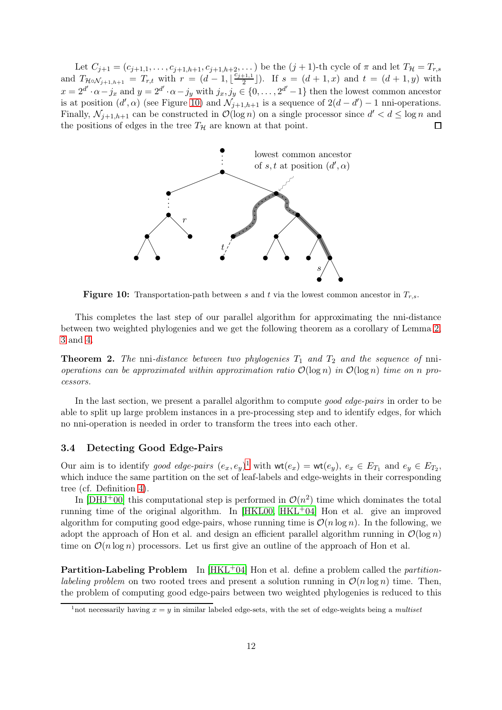Let  $C_{j+1} = (c_{j+1,1}, \ldots, c_{j+1,h+1}, c_{j+1,h+2}, \ldots)$  be the  $(j+1)$ -th cycle of  $\pi$  and let  $T_{\mathcal{H}} = T_{r,s}$ and  $T_{\mathcal{H} \circ \mathcal{N}_{j+1,h+1}} = T_{r,t}$  with  $r = (d-1, \lfloor \frac{\vec{c}_{j+1,1}}{2} \rfloor)$  $\left(\frac{+1,1}{2}\right)$ . If  $s = (d+1,x)$  and  $t = (d+1,y)$  with  $x = 2^{d'} \cdot \alpha - j_x$  and  $y = 2^{d'} \cdot \alpha - j_y$  with  $j_x, j_y \in \{0, \ldots, 2^{d'} - 1\}$  then the lowest common ancestor is at position  $(d', \alpha)$  (see Figure [10\)](#page-11-1) and  $\mathcal{N}_{j+1,h+1}$  is a sequence of  $2(d-d')-1$  nni-operations. Finally,  $\mathcal{N}_{j+1,h+1}$  can be constructed in  $\mathcal{O}(\log n)$  on a single processor since  $d' < d \leq \log n$  and the positions of edges in the tree  $T_{\mathcal{H}}$  are known at that point.  $\Box$ 

<span id="page-11-1"></span>

**Figure 10:** Transportation-path between s and t via the lowest common ancestor in  $T_{r,s}$ .

This completes the last step of our parallel algorithm for approximating the nni-distance between two weighted phylogenies and we get the following theorem as a corollary of Lemma [2,](#page-6-2) [3](#page-9-2) and [4.](#page-10-2)

Theorem 2. The nni-distance between two phylogenies  $T_1$  and  $T_2$  and the sequence of nni*operations can be approximated within approximation ratio*  $\mathcal{O}(\log n)$  *in*  $\mathcal{O}(\log n)$  *time on n processors.*

In the last section, we present a parallel algorithm to compute *good edge-pairs* in order to be able to split up large problem instances in a pre-processing step and to identify edges, for which no nni-operation is needed in order to transform the trees into each other.

#### <span id="page-11-0"></span>3.4 Detecting Good Edge-Pairs

Our aim is to identify *good edge-pairs*  $(e_x, e_y)$ <sup>[1](#page-11-2)</sup> with  $\text{wt}(e_x) = \text{wt}(e_y)$ ,  $e_x \in E_{T_1}$  and  $e_y \in E_{T_2}$ , which induce the same partition on the set of leaf-labels and edge-weights in their corresponding tree (cf. Definition [4\)](#page-3-1).

In [\[DHJ](#page-16-4)<sup>+</sup>00] this computational step is performed in  $\mathcal{O}(n^2)$  time which dominates the total running time of the original algorithm. In  $[HKL00, HKL<sup>+</sup>04]$  $[HKL00, HKL<sup>+</sup>04]$  $[HKL00, HKL<sup>+</sup>04]$  Hon et al. give an improved algorithm for computing good edge-pairs, whose running time is  $\mathcal{O}(n \log n)$ . In the following, we adopt the approach of Hon et al. and design an efficient parallel algorithm running in  $\mathcal{O}(\log n)$ time on  $\mathcal{O}(n \log n)$  processors. Let us first give an outline of the approach of Hon et al.

Partition-Labeling Problem In [\[HKL](#page-16-8)+04] Hon et al. define a problem called the *partitionlabeling problem* on two rooted trees and present a solution running in  $\mathcal{O}(n \log n)$  time. Then, the problem of computing good edge-pairs between two weighted phylogenies is reduced to this

<span id="page-11-2"></span><sup>&</sup>lt;sup>1</sup>not necessarily having  $x = y$  in similar labeled edge-sets, with the set of edge-weights being a multiset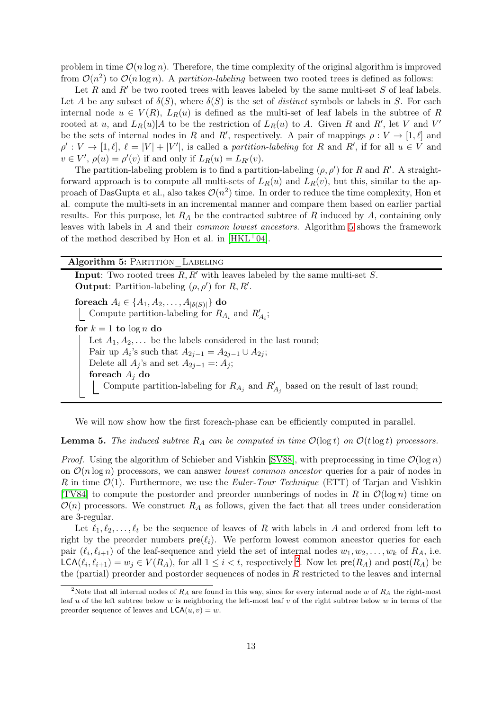problem in time  $\mathcal{O}(n \log n)$ . Therefore, the time complexity of the original algorithm is improved from  $\mathcal{O}(n^2)$  to  $\mathcal{O}(n \log n)$ . A *partition-labeling* between two rooted trees is defined as follows:

Let R and R' be two rooted trees with leaves labeled by the same multi-set S of leaf labels. Let A be any subset of  $\delta(S)$ , where  $\delta(S)$  is the set of *distinct* symbols or labels in S. For each internal node  $u \in V(R)$ ,  $L_R(u)$  is defined as the multi-set of leaf labels in the subtree of R rooted at u, and  $L_R(u) | A$  to be the restriction of  $L_R(u)$  to A. Given R and R', let V and V' be the sets of internal nodes in R and R', respectively. A pair of mappings  $\rho: V \to [1, \ell]$  and  $\rho': V \to [1, \ell], \ell = |V| + |V'|$ , is called a *partition-labeling* for R and R', if for all  $u \in V$  and  $v \in V'$ ,  $\rho(u) = \rho'(v)$  if and only if  $L_R(u) = L_{R'}(v)$ .

The partition-labeling problem is to find a partition-labeling  $(\rho, \rho')$  for R and R'. A straightforward approach is to compute all multi-sets of  $L_R(u)$  and  $L_R(v)$ , but this, similar to the approach of DasGupta et al., also takes  $\mathcal{O}(n^2)$  time. In order to reduce the time complexity, Hon et al. compute the multi-sets in an incremental manner and compare them based on earlier partial results. For this purpose, let  $R_A$  be the contracted subtree of R induced by A, containing only leaves with labels in A and their *common lowest ancestors*. Algorithm [5](#page-12-0) shows the framework of the method described by Hon et al. in  $[HKL+04]$ .

#### Algorithm 5: PARTITION LABELING

**Input:** Two rooted trees  $R, R'$  with leaves labeled by the same multi-set  $S$ . **Output**: Partition-labeling  $(\rho, \rho')$  for  $R, R'$ . foreach  $A_i \in \{A_1, A_2, ..., A_{|\delta(S)|}\}\)$  do Compute partition-labeling for  $R_{A_i}$  and  $R'_{A_i}$ ; for  $k = 1$  to  $\log n$  do Let  $A_1, A_2, \ldots$  be the labels considered in the last round; Pair up  $A_i$ 's such that  $A_{2j-1} = A_{2j-1} \cup A_{2j}$ ; Delete all  $A_j$ 's and set  $A_{2j-1} =: A_j$ ; foreach  $A_i$  do Compute partition-labeling for  $R_{A_j}$  and  $R'_{A_j}$  based on the result of last round;

<span id="page-12-0"></span>We will now show how the first foreach-phase can be efficiently computed in parallel.

<span id="page-12-2"></span>**Lemma 5.** The induced subtree  $R_A$  can be computed in time  $\mathcal{O}(\log t)$  on  $\mathcal{O}(t \log t)$  processors.

*Proof.* Using the algorithm of Schieber and Vishkin [\[SV88\]](#page-16-9), with preprocessing in time  $\mathcal{O}(\log n)$ on  $\mathcal{O}(n \log n)$  processors, we can answer *lowest common ancestor* queries for a pair of nodes in R in time  $\mathcal{O}(1)$ . Furthermore, we use the *Euler-Tour Technique* (ETT) of Tarjan and Vishkin [\[TV84\]](#page-16-10) to compute the postorder and preorder numberings of nodes in R in  $\mathcal{O}(\log n)$  time on  $\mathcal{O}(n)$  processors. We construct  $R_A$  as follows, given the fact that all trees under consideration are 3-regular.

Let  $\ell_1, \ell_2, \ldots, \ell_t$  be the sequence of leaves of R with labels in A and ordered from left to right by the preorder numbers  $pre(\ell_i)$ . We perform lowest common ancestor queries for each pair  $(\ell_i, \ell_{i+1})$  of the leaf-sequence and yield the set of internal nodes  $w_1, w_2, \ldots, w_k$  of  $R_A$ , i.e.  $\mathsf{LCA}(\ell_i, \ell_{i+1}) = w_j \in V(R_A)$ , for all  $1 \leq i < t$ , respectively <sup>[2](#page-12-1)</sup>. Now let  $\mathsf{pre}(R_A)$  and  $\mathsf{post}(R_A)$  be the (partial) preorder and postorder sequences of nodes in R restricted to the leaves and internal

<span id="page-12-1"></span><sup>&</sup>lt;sup>2</sup>Note that all internal nodes of  $R_A$  are found in this way, since for every internal node w of  $R_A$  the right-most leaf u of the left subtree below w is neighboring the left-most leaf v of the right subtree below w in terms of the preorder sequence of leaves and  $\mathsf{LCA}(u, v) = w$ .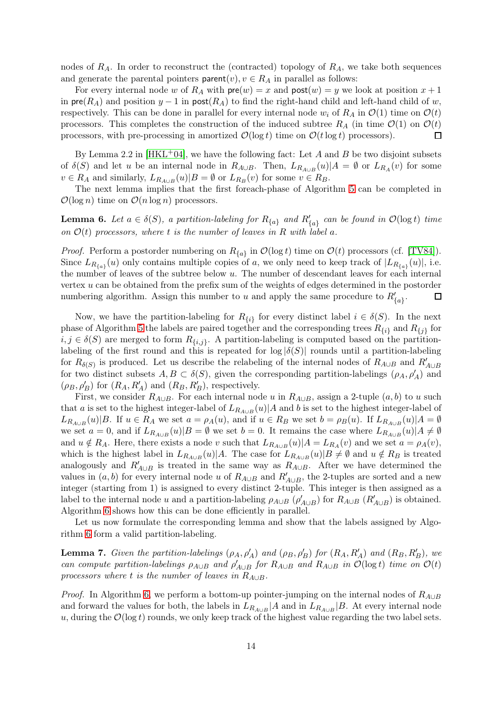nodes of  $R_A$ . In order to reconstruct the (contracted) topology of  $R_A$ , we take both sequences and generate the parental pointers  $\mathsf{parent}(v), v \in R_A$  in parallel as follows:

For every internal node w of  $R_A$  with  $\mathsf{pre}(w) = x$  and  $\mathsf{post}(w) = y$  we look at position  $x + 1$ in  $pre(R_A)$  and position  $y - 1$  in  $post(R_A)$  to find the right-hand child and left-hand child of w, respectively. This can be done in parallel for every internal node  $w_i$  of  $R_A$  in  $\mathcal{O}(1)$  time on  $\mathcal{O}(t)$ processors. This completes the construction of the induced subtree  $R_A$  (in time  $\mathcal{O}(1)$ ) on  $\mathcal{O}(t)$ processors, with pre-processing in amortized  $\mathcal{O}(\log t)$  time on  $\mathcal{O}(t \log t)$  processors).  $\Box$ 

By Lemma 2.2 in  $[HKL^+04]$ , we have the following fact: Let A and B be two disjoint subsets of  $\delta(S)$  and let u be an internal node in  $R_{A\cup B}$ . Then,  $L_{R_{A\cup B}}(u)|A = \emptyset$  or  $L_{R_A}(v)$  for some  $v \in R_A$  and similarly,  $L_{R_{A \cup B}}(u) | B = \emptyset$  or  $L_{R_B}(v)$  for some  $v \in R_B$ .

The next lemma implies that the first foreach-phase of Algorithm [5](#page-12-0) can be completed in  $\mathcal{O}(\log n)$  time on  $\mathcal{O}(n \log n)$  processors.

<span id="page-13-0"></span>**Lemma 6.** Let  $a \in \delta(S)$ , a partition-labeling for  $R_{\{a\}}$  and  $R'_{\{a\}}$  can be found in  $\mathcal{O}(\log t)$  time *on*  $\mathcal{O}(t)$  processors, where t is the number of leaves in R with label a.

*Proof.* Perform a postorder numbering on  $R_{\{a\}}$  in  $\mathcal{O}(\log t)$  time on  $\mathcal{O}(t)$  processors (cf. [\[TV84\]](#page-16-10)). Since  $L_{R_{\{a\}}}(u)$  only contains multiple copies of a, we only need to keep track of  $|L_{R_{\{a\}}}(u)|$ , i.e. the number of leaves of the subtree below  $u$ . The number of descendant leaves for each internal vertex u can be obtained from the prefix sum of the weights of edges determined in the postorder numbering algorithm. Assign this number to u and apply the same procedure to  $R'_{\{a\}}$ .  $\Box$ 

Now, we have the partition-labeling for  $R_{\{i\}}$  for every distinct label  $i \in \delta(S)$ . In the next phase of Algorithm [5](#page-12-0) the labels are paired together and the corresponding trees  $R_{\{i\}}$  and  $R_{\{j\}}$  for  $i, j \in \delta(S)$  are merged to form  $R_{\{i,j\}}$ . A partition-labeling is computed based on the partitionlabeling of the first round and this is repeated for  $log |\delta(S)|$  rounds until a partition-labeling for  $R_{\delta(S)}$  is produced. Let us describe the relabeling of the internal nodes of  $R_{A\cup B}$  and  $R'_{A\cup B}$ for two distinct subsets  $A, B \subset \delta(S)$ , given the corresponding partition-labelings  $(\rho_A, \rho'_A)$  and  $(\rho_B, \rho'_B)$  for  $(R_A, R'_A)$  and  $(R_B, R'_B)$ , respectively.

First, we consider  $R_{A\cup B}$ . For each internal node u in  $R_{A\cup B}$ , assign a 2-tuple  $(a, b)$  to u such that a is set to the highest integer-label of  $L_{R_{A\cup B}}(u)|A$  and b is set to the highest integer-label of  $L_{R_{A\cup B}}(u)|B$ . If  $u \in R_A$  we set  $a = \rho_A(u)$ , and if  $u \in R_B$  we set  $b = \rho_B(u)$ . If  $L_{R_{A\cup B}}(u)|A = \emptyset$ we set  $a = 0$ , and if  $L_{R_{A\cup B}}(u)|B = \emptyset$  we set  $b = 0$ . It remains the case where  $L_{R_{A\cup B}}(u)|A \neq \emptyset$ and  $u \notin R_A$ . Here, there exists a node v such that  $L_{R_{A\cup B}}(u)|A = L_{R_A}(v)$  and we set  $a = \rho_A(v)$ , which is the highest label in  $L_{R_{A\cup B}}(u)|A$ . The case for  $L_{R_{A\cup B}}(u)|B\neq\emptyset$  and  $u \notin R_B$  is treated analogously and  $R'_{A\cup B}$  is treated in the same way as  $R_{A\cup B}$ . After we have determined the values in  $(a, b)$  for every internal node u of  $R_{A\cup B}$  and  $R'_{A\cup B}$ , the 2-tuples are sorted and a new integer (starting from 1) is assigned to every distinct 2-tuple. This integer is then assigned as a label to the internal node u and a partition-labeling  $\rho_{A\cup B}$  ( $\rho'_{A\cup B}$ ) for  $R_{A\cup B}$  ( $R'_{A\cup B}$ ) is obtained. Algorithm [6](#page-14-0) shows how this can be done efficiently in parallel.

Let us now formulate the corresponding lemma and show that the labels assigned by Algorithm [6](#page-14-0) form a valid partition-labeling.

<span id="page-13-1"></span>**Lemma 7.** *Given the partition-labelings*  $(\rho_A, \rho'_A)$  *and*  $(\rho_B, \rho'_B)$  *for*  $(R_A, R'_A)$  *and*  $(R_B, R'_B)$ *, we can compute partition-labelings*  $\rho_{A\cup B}$  *and*  $\rho'_{A\cup B}$  *for*  $R_{A\cup B}$  *and*  $R_{A\cup B}$  *in*  $\mathcal{O}(\log t)$  *time on*  $\mathcal{O}(t)$ *processors where*  $t$  *is the number of leaves in*  $R_{A\cup B}$ *.* 

*Proof.* In Algorithm [6,](#page-14-0) we perform a bottom-up pointer-jumping on the internal nodes of  $R_{A\cup B}$ and forward the values for both, the labels in  $L_{R_{A\cup B}}|A$  and in  $L_{R_{A\cup B}}|B$ . At every internal node u, during the  $\mathcal{O}(\log t)$  rounds, we only keep track of the highest value regarding the two label sets.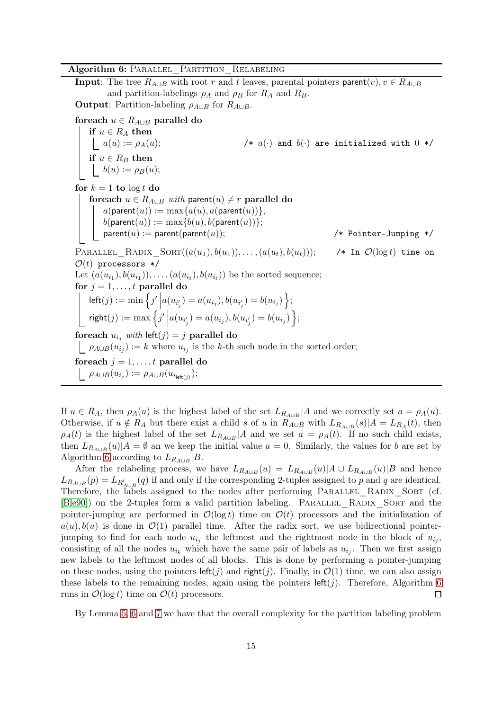## Algorithm 6: PARALLEL PARTITION RELABELING

**Input**: The tree  $R_{A\cup B}$  with root r and t leaves, parental pointers parent $(v), v \in R_{A\cup B}$ and partition-labelings  $\rho_A$  and  $\rho_B$  for  $R_A$  and  $R_B$ . **Output**: Partition-labeling  $\rho_{A\cup B}$  for  $R_{A\cup B}$ . foreach  $u \in R_{A\cup B}$  parallel do if  $u \in R_A$  then /\*  $a(\cdot)$  and  $b(\cdot)$  are initialized with  $0$  \*/ if  $u \in R_B$  then  $b(u) := \rho_B(u);$ for  $k = 1$  to  $\log t$  do foreach  $u \in R_{A\cup B}$  *with* parent $(u) \neq r$  parallel do  $a(\text{parent}(u)) := \max\{a(u), a(\text{parent}(u))\};$  $b(\mathsf{parent}(u)) := \max\{b(u), b(\mathsf{parent}(u))\};$  $parent(u) := parent(parent(u));$  /\* Pointer-Jumping \*/ PARALLEL RADIX  $Sorr((a(u_1), b(u_1)), \ldots, (a(u_t), b(u_t)))$ ; /\* In  $\mathcal{O}(\log t)$  time on  $\mathcal{O}(t)$  processors \*/ Let  $(a(u_{i_1}), b(u_{i_1})), \ldots, (a(u_{i_t}), b(u_{i_t}))$  be the sorted sequence; for  $j = 1, \ldots, t$  parallel do  $\mathsf{left}(j) := \min\Big\{j'\Big| a(u_{i'_j}) = a(u_{i_j}), b(u_{i'_j}) = b(u_{i_j})\Big\};$  $\mathsf{right}(j) := \max \Big\{ j' \Big| a(u_{i'_j}) = a(u_{i_j}), b(u_{i'_j}) = b(u_{i_j}) \Big\};$ foreach  $u_{i_j}$  *with*  $\text{left}(j) = j$  parallel do  $\rho_{A\cup B}(u_{i_j}) := k$  where  $u_{i_j}$  is the k-th such node in the sorted order; foreach  $j = 1, \ldots, t$  parallel do  $\rho_{A\cup B}(u_{i_j}):=\rho_{A\cup B}(u_{i_{\mathsf{left}(j)}});$ 

<span id="page-14-0"></span>If  $u \in R_A$ , then  $\rho_A(u)$  is the highest label of the set  $L_{R_{A\cup B}}|A$  and we correctly set  $a = \rho_A(u)$ . Otherwise, if  $u \notin R_A$  but there exist a child s of u in  $R_{A \cup B}$  with  $L_{R_{A \cup B}}(s)|A = L_{R_A}(t)$ , then  $\rho_A(t)$  is the highest label of the set  $L_{R_{A\cup B}}|A$  and we set  $a = \rho_A(t)$ . If no such child exists, then  $L_{R_{A\cup B}}(u)|A = \emptyset$  an we keep the initial value  $a = 0$ . Similarly, the values for b are set by Algorithm [6](#page-14-0) according to  $L_{R_{A\cup B}}|B$ .

After the relabeling process, we have  $L_{R_{A\cup B}}(u) = L_{R_{A\cup B}}(u) |A \cup L_{R_{A\cup B}}(u)|B$  and hence  $L_{R_{A\cup B}}(p) = L_{R'_{A\cup B}}(q)$  if and only if the corresponding 2-tuples assigned to p and q are identical. Therefore, the labels assigned to the nodes after performing PARALLEL\_RADIX\_SORT (cf. [\[Ble90\]](#page-16-11)) on the 2-tuples form a valid partition labeling. PARALLEL RADIX SORT and the pointer-jumping are performed in  $\mathcal{O}(\log t)$  time on  $\mathcal{O}(t)$  processors and the initialization of  $a(u), b(u)$  is done in  $\mathcal{O}(1)$  parallel time. After the radix sort, we use bidirectional pointerjumping to find for each node  $u_{i_j}$  the leftmost and the rightmost node in the block of  $u_{i_j}$ , consisting of all the nodes  $u_{i_k}$  which have the same pair of labels as  $u_{i_j}$ . Then we first assign new labels to the leftmost nodes of all blocks. This is done by performing a pointer-jumping on these nodes, using the pointers  $\text{left}(j)$  and right(j). Finally, in  $\mathcal{O}(1)$  time, we can also assign these labels to the remaining nodes, again using the pointers  $\text{left}(j)$ . Therefore, Algorithm [6](#page-14-0) runs in  $\mathcal{O}(\log t)$  time on  $\mathcal{O}(t)$  processors.  $\Box$ 

By Lemma [5,](#page-12-2) [6](#page-13-0) and [7](#page-13-1) we have that the overall complexity for the partition labeling problem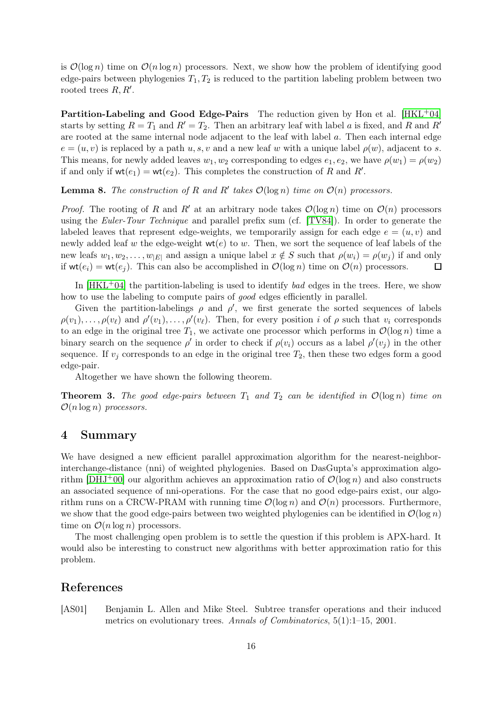is  $\mathcal{O}(\log n)$  time on  $\mathcal{O}(n \log n)$  processors. Next, we show how the problem of identifying good edge-pairs between phylogenies  $T_1, T_2$  is reduced to the partition labeling problem between two rooted trees  $R, R'$ .

**Partition-Labeling and Good Edge-Pairs** The reduction given by Hon et al.  $[HKL^+04]$ starts by setting  $R = T_1$  and  $R' = T_2$ . Then an arbitrary leaf with label a is fixed, and R and R' are rooted at the same internal node adjacent to the leaf with label a. Then each internal edge  $e = (u, v)$  is replaced by a path  $u, s, v$  and a new leaf w with a unique label  $\rho(w)$ , adjacent to s. This means, for newly added leaves  $w_1, w_2$  corresponding to edges  $e_1, e_2$ , we have  $\rho(w_1) = \rho(w_2)$ if and only if  $wt(e_1) = wt(e_2)$ . This completes the construction of R and R'.

**Lemma 8.** The construction of R and R' takes  $\mathcal{O}(\log n)$  *time on*  $\mathcal{O}(n)$  processors.

*Proof.* The rooting of R and R' at an arbitrary node takes  $\mathcal{O}(\log n)$  time on  $\mathcal{O}(n)$  processors using the *Euler-Tour Technique* and parallel prefix sum (cf. [\[TV84\]](#page-16-10)). In order to generate the labeled leaves that represent edge-weights, we temporarily assign for each edge  $e = (u, v)$  and newly added leaf w the edge-weight  $wt(e)$  to w. Then, we sort the sequence of leaf labels of the new leafs  $w_1, w_2, \ldots, w_{|E|}$  and assign a unique label  $x \notin S$  such that  $\rho(w_i) = \rho(w_i)$  if and only if  $wt(e_i) = wt(e_j)$ . This can also be accomplished in  $\mathcal{O}(\log n)$  time on  $\mathcal{O}(n)$  processors.  $\Box$ 

In [\[HKL](#page-16-8)+04] the partition-labeling is used to identify *bad* edges in the trees. Here, we show how to use the labeling to compute pairs of *good* edges efficiently in parallel.

Given the partition-labelings  $\rho$  and  $\rho'$ , we first generate the sorted sequences of labels  $\rho(v_1),\ldots,\rho(v_\ell)$  and  $\rho'(v_1),\ldots,\rho'(v_\ell)$ . Then, for every position i of  $\rho$  such that  $v_i$  corresponds to an edge in the original tree  $T_1$ , we activate one processor which performs in  $\mathcal{O}(\log n)$  time a binary search on the sequence  $\rho'$  in order to check if  $\rho(v_i)$  occurs as a label  $\rho'(v_j)$  in the other sequence. If  $v_j$  corresponds to an edge in the original tree  $T_2$ , then these two edges form a good edge-pair.

Altogether we have shown the following theorem.

**Theorem 3.** The good edge-pairs between  $T_1$  and  $T_2$  can be identified in  $\mathcal{O}(\log n)$  time on O(n log n) *processors.*

# 4 Summary

We have designed a new efficient parallel approximation algorithm for the nearest-neighborinterchange-distance (nni) of weighted phylogenies. Based on DasGupta's approximation algorithm  $[DHJ^+00]$  our algorithm achieves an approximation ratio of  $\mathcal{O}(\log n)$  and also constructs an associated sequence of nni-operations. For the case that no good edge-pairs exist, our algorithm runs on a CRCW-PRAM with running time  $\mathcal{O}(\log n)$  and  $\mathcal{O}(n)$  processors. Furthermore, we show that the good edge-pairs between two weighted phylogenies can be identified in  $\mathcal{O}(\log n)$ time on  $\mathcal{O}(n \log n)$  processors.

The most challenging open problem is to settle the question if this problem is APX-hard. It would also be interesting to construct new algorithms with better approximation ratio for this problem.

## References

<span id="page-15-0"></span>[AS01] Benjamin L. Allen and Mike Steel. Subtree transfer operations and their induced metrics on evolutionary trees. *Annals of Combinatorics*, 5(1):1–15, 2001.